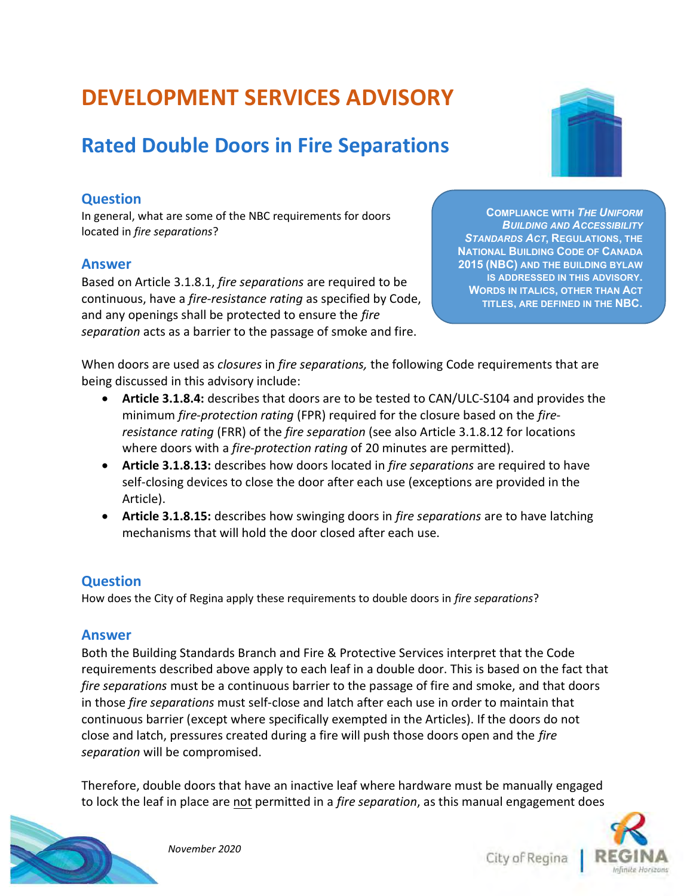# DEVELOPMENT SERVICES ADVISORY

# Rated Double Doors in Fire Separations

## Question

In general, what are some of the NBC requirements for doors located in fire separations?

#### Answer

Based on Article 3.1.8.1, fire separations are required to be continuous, have a fire-resistance rating as specified by Code, and any openings shall be protected to ensure the fire separation acts as a barrier to the passage of smoke and fire.

COMPLIANCE WITH THE UNIFORM **BUILDING AND ACCESSIBILITY** STANDARDS ACT, REGULATIONS, THE NATIONAL BUILDING CODE OF CANADA 2015 (NBC) AND THE BUILDING BYLAW IS ADDRESSED IN THIS ADVISORY. WORDS IN ITALICS, OTHER THAN ACT TITLES, ARE DEFINED IN THE NBC.

When doors are used as *closures* in *fire separations*, the following Code requirements that are being discussed in this advisory include:

- Article 3.1.8.4: describes that doors are to be tested to CAN/ULC-S104 and provides the minimum fire-protection rating (FPR) required for the closure based on the fireresistance rating (FRR) of the fire separation (see also Article 3.1.8.12 for locations where doors with a *fire-protection rating* of 20 minutes are permitted).
- Article 3.1.8.13: describes how doors located in fire separations are required to have self-closing devices to close the door after each use (exceptions are provided in the Article).
- Article 3.1.8.15: describes how swinging doors in fire separations are to have latching mechanisms that will hold the door closed after each use.

### **Question**

How does the City of Regina apply these requirements to double doors in fire separations?

#### Answer

Both the Building Standards Branch and Fire & Protective Services interpret that the Code requirements described above apply to each leaf in a double door. This is based on the fact that fire separations must be a continuous barrier to the passage of fire and smoke, and that doors in those fire separations must self-close and latch after each use in order to maintain that continuous barrier (except where specifically exempted in the Articles). If the doors do not close and latch, pressures created during a fire will push those doors open and the fire separation will be compromised.

Therefore, double doors that have an inactive leaf where hardware must be manually engaged to lock the leaf in place are not permitted in a *fire separation*, as this manual engagement does



City of Regina